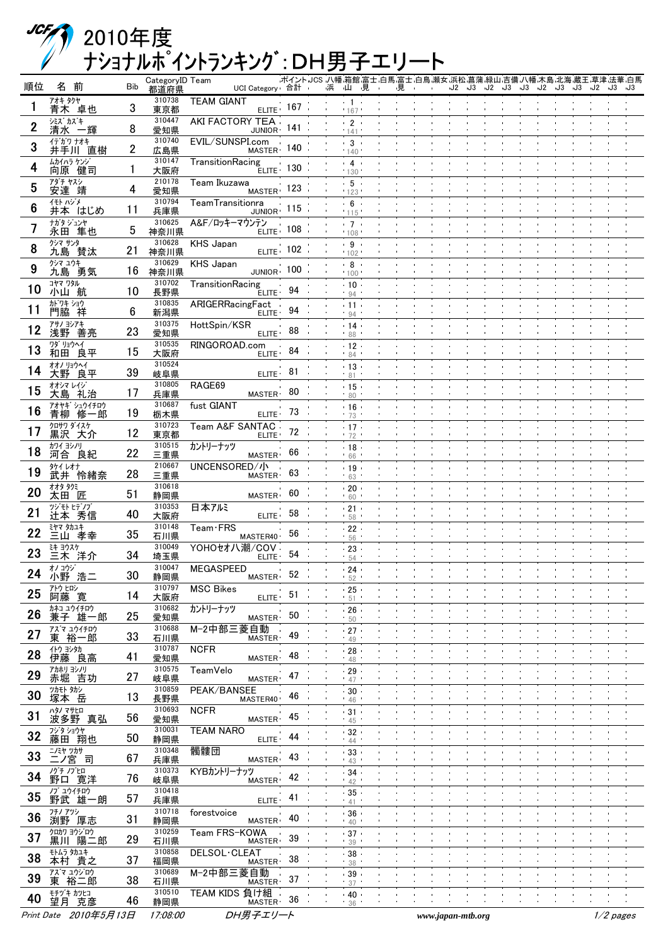## ナショナルポイントランキング:DH男子エリート 2010年度

| 順位 | 名前                     | <b>Bib</b> | CategoryID Team<br>都道府県 | UCI Category 合計                       |              | - ポイント JCS 八幡 箱館 富士 白馬 富士 白鳥 瀬女 浜松 菖蒲 緑山 吉備 八幡 木島 北海 蔵王 草津 法華 白馬<br>山見<br>浜 | 見 |                   |  | J2 J3 J2 J3 J3 J2 J3 | <b>J3</b> | - J2 | - J3        | J3 |
|----|------------------------|------------|-------------------------|---------------------------------------|--------------|-----------------------------------------------------------------------------|---|-------------------|--|----------------------|-----------|------|-------------|----|
|    | アオキ タクヤ<br>青木 卓也       | 3          | 310738<br>東京都           | <b>TEAM GIANT</b>                     | $ELITE$ 167  | $+1$<br>' 167                                                               |   |                   |  |                      |           |      |             |    |
| 2  | シミス カズキ<br>清水 一輝       | 8          | 310447<br>愛知県           | AKI FACTORY TEA<br>JUNIOR 141         |              | $-2$<br>141                                                                 |   |                   |  |                      |           |      |             |    |
| 3  | イデガワ ナオキ<br>井手川 直樹     | 2          | 310740<br>広島県           | EVIL/SUNSPI.com<br>MASTER 140         |              | $\cdot$ 3<br>140                                                            |   |                   |  |                      |           |      |             |    |
| 4  | ムカイハラ ケンジ<br>向原 健司     | ı          | 310147<br>大阪府           | TransitionRacing                      | $E LITE$ 130 | $\cdot$ 4<br>130                                                            |   |                   |  |                      |           |      |             |    |
| 5  | アダチ ヤスシ<br>安達 靖        | 4          | 210178<br>愛知県           | Team Ikuzawa<br>MASTER 123            |              | .5.                                                                         |   |                   |  |                      |           |      |             |    |
| 6  | イモト ハジメ<br>井本 はじめ      | 11         | 310794                  | TeamTransitionra<br>JUNIOR 115        |              | 123<br>.6 <sub>0</sub>                                                      |   |                   |  |                      |           |      |             |    |
|    | ナガタ ジュンヤ               | 5          | 兵庫県<br>310625           | A&F/ロッキーマウンテン                         | $ELITE$ 108  | 115<br>$-7 -$                                                               |   |                   |  |                      |           |      |             |    |
| 8  | 永田 隼也<br>クシマ サンタ       |            | 神奈川県<br>310628          | <b>KHS Japan</b><br>$ELITE$ 102       |              | 108<br>- 9                                                                  |   |                   |  |                      |           |      |             |    |
| 9  | 九島 賛汰<br>クシマ ユウキ       | 21         | 神奈川県<br>310629          | <b>KHS Japan</b>                      |              | 102<br>. 8.                                                                 |   |                   |  |                      |           |      |             |    |
|    | 九島 勇気<br>コヤマ ワタル       | 16         | 神奈川県<br>310702          | JUNIOR 100<br>TransitionRacing        |              | 100<br>.10.1                                                                |   |                   |  |                      |           |      |             |    |
| 10 | 小山 航<br>か゛ワキ ショウ       | 10         | 長野県<br>310835           | <b>ELITE</b><br>ARIGERRacingFact      | 94           | 94<br>$+11+$                                                                |   |                   |  |                      |           |      |             |    |
| 11 | 門脇 祥<br>アサノ ヨシアキ       | 6          | 新潟県<br>310375           | ELITE <sup>®</sup><br>HottSpin/KSR    | 94           | 94<br>.14.                                                                  |   |                   |  |                      |           |      |             |    |
| 12 | 浅野 善亮<br>ワダ リョウヘイ      | 23         | 愛知県<br>310535           | ELITE <sup>®</sup><br>RINGOROAD.com   | 88           | 88<br>.12.                                                                  |   |                   |  |                      |           |      |             |    |
| 13 | 和田 良平<br>オオノリョウヘイ      | 15         | 大阪府<br>310524           | ELITE <sup>®</sup>                    | 84           | 84<br>$-13$                                                                 |   |                   |  |                      |           |      |             |    |
| 14 | 大野 良平<br>オオシマ レイジ゛     | 39         | 岐阜県<br>310805           | ELITE ·<br>RAGE69                     | 81           | 81                                                                          |   |                   |  |                      |           |      |             |    |
| 15 | 大島 礼治                  | 17         | 兵庫県<br>310687           | <b>MASTER</b>                         | 80           | .15.<br>80                                                                  |   |                   |  |                      |           |      |             |    |
| 16 | アオヤギ シュウイチロウ<br>青柳 修一郎 | 19         | 栃木県                     | fust GIANT<br>ELITE 73                |              | .16.<br>.73                                                                 |   |                   |  |                      |           |      |             |    |
| 17 | クロサワ ダイスケ<br>黒沢 大介     | 12         | 310723<br>東京都           | Team A&F SANTAC<br>ELITE <sup>®</sup> | 72           | ۱7۰ -<br>72                                                                 |   |                   |  |                      |           |      |             |    |
| 18 | カワイ ヨシノリ<br>河合 良紀      | 22         | 310515<br>三重県           | カントリーナッツ<br><b>MASTER</b>             | 66           | .18.<br>66                                                                  |   |                   |  |                      |           |      |             |    |
| 19 | タケイ レオナ<br>武井 怜緒奈      | 28         | 210667<br>三重県           | UNCENSORED/小<br><b>MASTER</b>         | 63           | .19.<br>63                                                                  |   |                   |  |                      |           |      |             |    |
| 20 | オオタ タクミ<br>太田 匠        | 51         | 310618<br>静岡県           | <b>MASTER</b>                         | 60.          | $20 -$<br>60                                                                |   |                   |  |                      |           |      |             |    |
| 21 | ツジモト ヒデノブ<br>辻本 秀信     | 40         | 310353<br>大阪府           | 日本アルミ<br>ELITE <sup>®</sup>           | 58           | $-21$<br>58                                                                 |   |                   |  |                      |           |      |             |    |
| 22 | ミヤマ タカユキ<br>三山 孝幸      | 35         | 310148<br>石川県           | $Team$ FRS<br>MASTER40                | 56.          | 22<br>56                                                                    |   |                   |  |                      |           |      |             |    |
| 23 | き ジスケ<br>三木 洋介         | 34         | 310049<br>埼玉県           | YOHOセオハ潮/COV<br>ELITE <sup>®</sup>    | 54           | - 23<br>54                                                                  |   |                   |  |                      |           |      |             |    |
| 24 | オノコウジ<br>小野 浩二         | 30         | 310047<br>静岡県           | <b>MEGASPEED</b><br><b>MASTER</b>     | 52           | 24<br>52                                                                    |   |                   |  |                      |           |      |             |    |
| 25 | アトウ ヒロシ<br>阿藤 寛        | 14         | 310797<br>大阪府           | <b>MSC Bikes</b><br>ELITE ·           | 51           | $-25$<br>51                                                                 |   |                   |  |                      |           |      |             |    |
| 26 | カネコ ユウイチロウ<br>兼子 雄一郎   | 25         | 310682<br>愛知県           | カントリーナッツ<br>MASTER <sup>®</sup>       | 50           | $-26$<br>50                                                                 |   |                   |  |                      |           |      |             |    |
| 27 | アズマ ユウイチロウ<br>裕一郎<br>東 | 33         | 310688<br>石川県           | M-2中部三菱自動<br><b>MASTER</b>            | 49           | 27<br>49                                                                    |   |                   |  |                      |           |      |             |    |
| 28 | イトウ ヨシタカ<br>伊藤 良高      | 41         | 310787<br>愛知県           | <b>NCFR</b><br><b>MASTER</b>          | 48           | 28<br>48                                                                    |   |                   |  |                      |           |      |             |    |
| 29 | アカホリ ヨシノリ<br>赤堀 吉功     | 27         | 310575<br>岐阜県           | TeamVelo<br>MASTER <sup>.</sup>       | 47           | 29                                                                          |   |                   |  |                      |           |      |             |    |
| 30 | ツカモト タカシ<br>塚本 岳       | 13         | 310859                  | PEAK/BANSEE<br>MASTER40               | 46           | 47<br>30 <sub>1</sub>                                                       |   |                   |  |                      |           |      |             |    |
| 31 | ハタノ マサヒロ               | 56         | 長野県<br>310693           | <b>NCFR</b>                           | 45           | 46<br>$-31$                                                                 |   |                   |  |                      |           |      |             |    |
| 32 | 波多野 真弘<br>フジタ ショウヤ     | 50         | 愛知県<br>310031           | <b>MASTER</b><br><b>TEAM NARO</b>     | 44           | 45<br>- 32                                                                  |   |                   |  |                      |           |      |             |    |
| 33 | 藤田 翔也<br>ニノミヤ ツカサ      |            | 静岡県<br>310348           | ELITE <sup>®</sup><br>髑髏団             | 43           | 44<br>- 33                                                                  |   |                   |  |                      |           |      |             |    |
| 34 | ニノ宮 司<br>ノグチ ノブヒロ      | 67         | 兵庫県<br>310373           | MASTER <sup>.</sup><br>KYBカントリーナッツ    |              | 43<br>- 34                                                                  |   |                   |  |                      |           |      |             |    |
|    | 野口 寛洋<br>ノブ ユウイチロウ     | 76         | 岐阜県<br>310418           | MASTER <sup>®</sup>                   | 42           | 42<br>35 <sub>1</sub>                                                       |   |                   |  |                      |           |      |             |    |
| 35 | 野武 雄一朗<br>フチノ アツシ      | 57         | 兵庫県<br>310718           | ELITE <sup>®</sup><br>forestvoice     | 41           | 41<br>$-36$                                                                 |   |                   |  |                      |           |      |             |    |
| 36 | 渕野 厚志<br>クロカワ ヨウジロウ    | 31         | 静岡県<br>310259           | <b>MASTER</b><br>Team FRS-KOWA        | 40           | 40<br>$-37$                                                                 |   |                   |  |                      |           |      |             |    |
| 37 | 黒川 陽二郎<br>モトムラ タカユキ    | 29         | 石川県<br>310858           | <b>MASTER</b><br>DELSOL·CLEAT         | 39           | 39<br>38                                                                    |   |                   |  |                      |           |      |             |    |
| 38 | 本村 貴之<br>アズマ ュウジロウ     | 37         | 福岡県<br>310689           | <b>MASTER</b><br>M-2中部三菱自動            | 38           | 38<br>$-39$                                                                 |   |                   |  |                      |           |      |             |    |
| 39 | 裕二郎<br>東<br>モチヅキ カツヒコ  | 38         | 石川県<br>310510           | <b>MASTER</b><br>TEAM KIDS 負け組        | 37           | 37                                                                          |   |                   |  |                      |           |      |             |    |
| 40 | 望月 克彦                  | 46         | 静岡県                     | <b>MASTER</b>                         | 36           | $-40$<br>36                                                                 |   |                   |  |                      |           |      |             |    |
|    | Print Date 2010年5月13日  |            | 17:08:00                | DH男子エリート                              |              |                                                                             |   | www.japan-mtb.org |  |                      |           |      | $1/2$ pages |    |